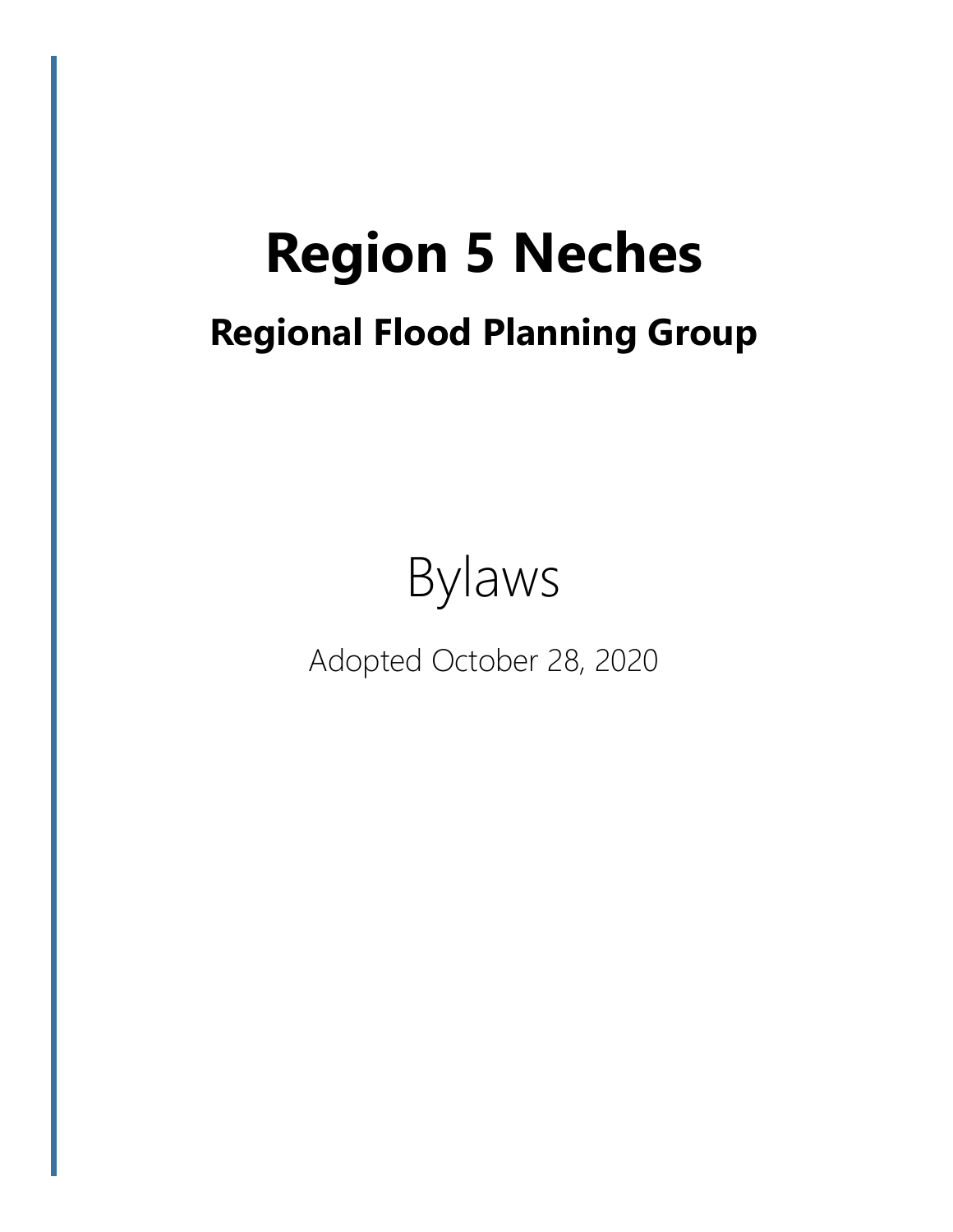# **Region 5 Neches**

### **Regional Flood Planning Group**

## Bylaws

Adopted October 28, 2020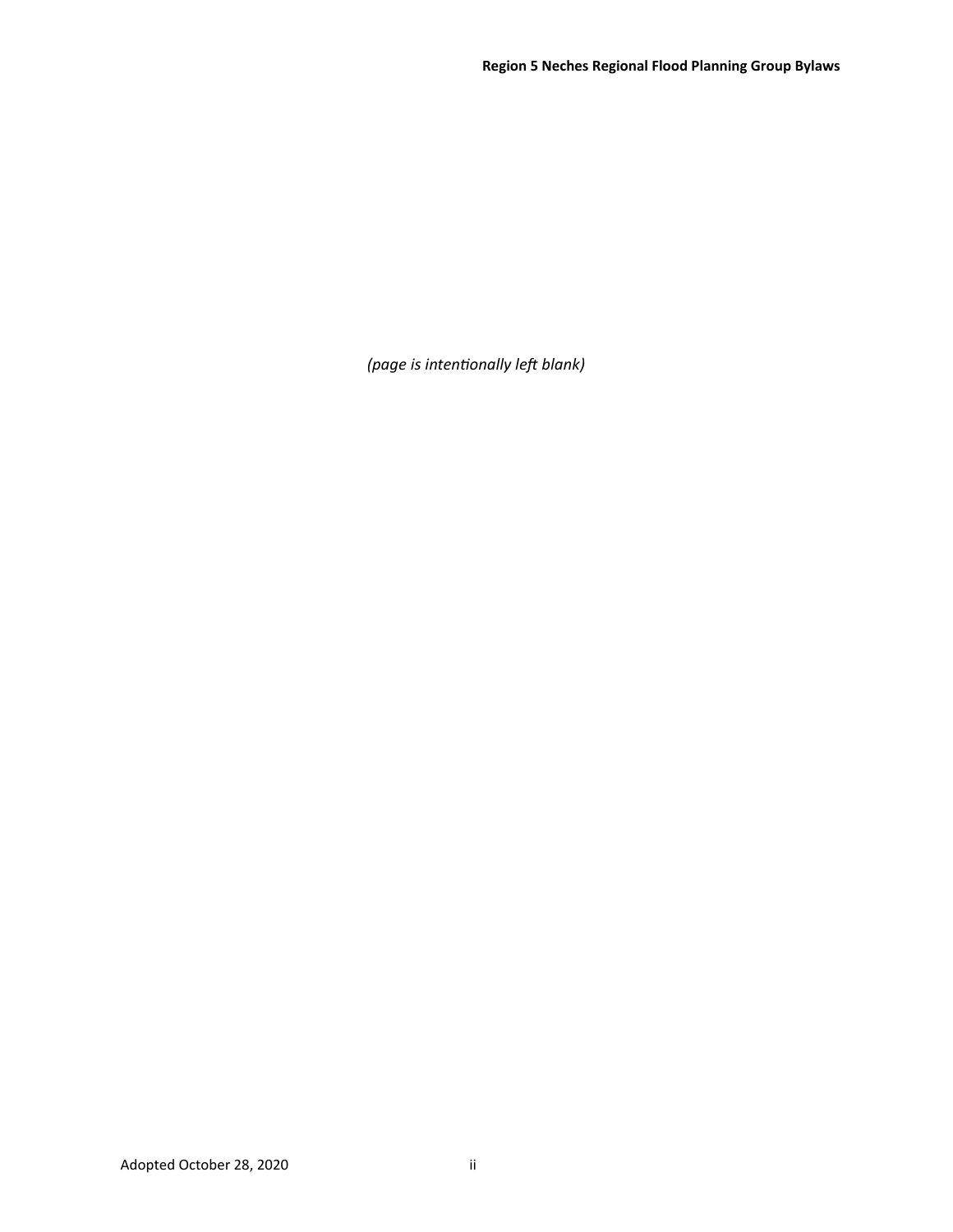*(page is intentionally left blank)*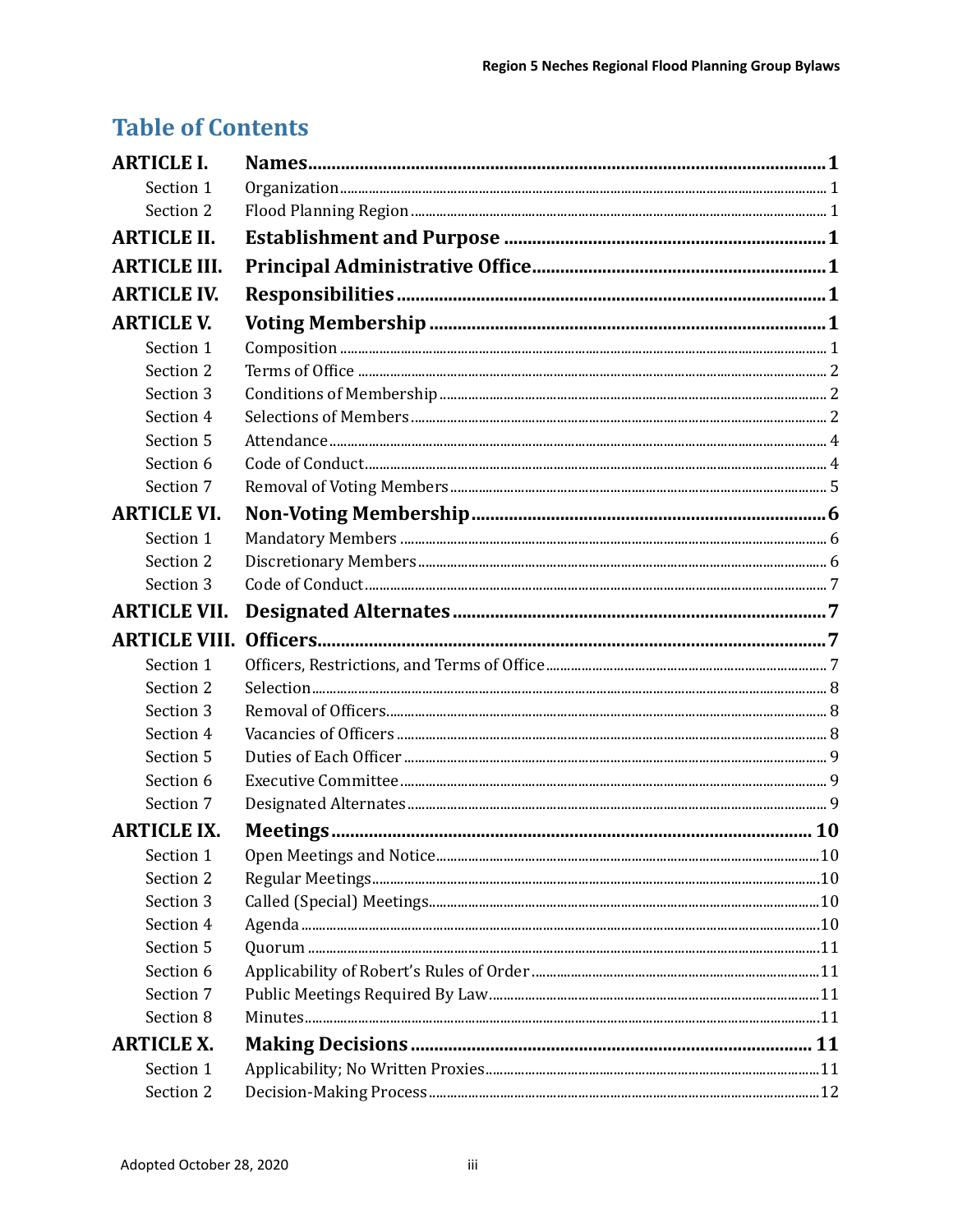#### **Table of Contents**

| <b>ARTICLE I.</b>    |  |
|----------------------|--|
| Section 1            |  |
| Section 2            |  |
| <b>ARTICLE II.</b>   |  |
| <b>ARTICLE III.</b>  |  |
| <b>ARTICLE IV.</b>   |  |
| <b>ARTICLE V.</b>    |  |
| Section 1            |  |
| Section 2            |  |
| Section 3            |  |
| Section 4            |  |
| Section 5            |  |
| Section 6            |  |
| Section 7            |  |
| <b>ARTICLE VI.</b>   |  |
| Section 1            |  |
| Section 2            |  |
| Section 3            |  |
| <b>ARTICLE VII.</b>  |  |
|                      |  |
| <b>ARTICLE VIII.</b> |  |
| Section 1            |  |
| Section 2            |  |
| Section 3            |  |
| Section 4            |  |
| Section 5            |  |
| Section 6            |  |
| Section 7            |  |
| <b>ARTICLE IX.</b>   |  |
| Section 1            |  |
| Section 2            |  |
| Section 3            |  |
| Section 4            |  |
| Section 5            |  |
| Section 6            |  |
| Section 7            |  |
| Section 8            |  |
| <b>ARTICLE X.</b>    |  |
| Section 1            |  |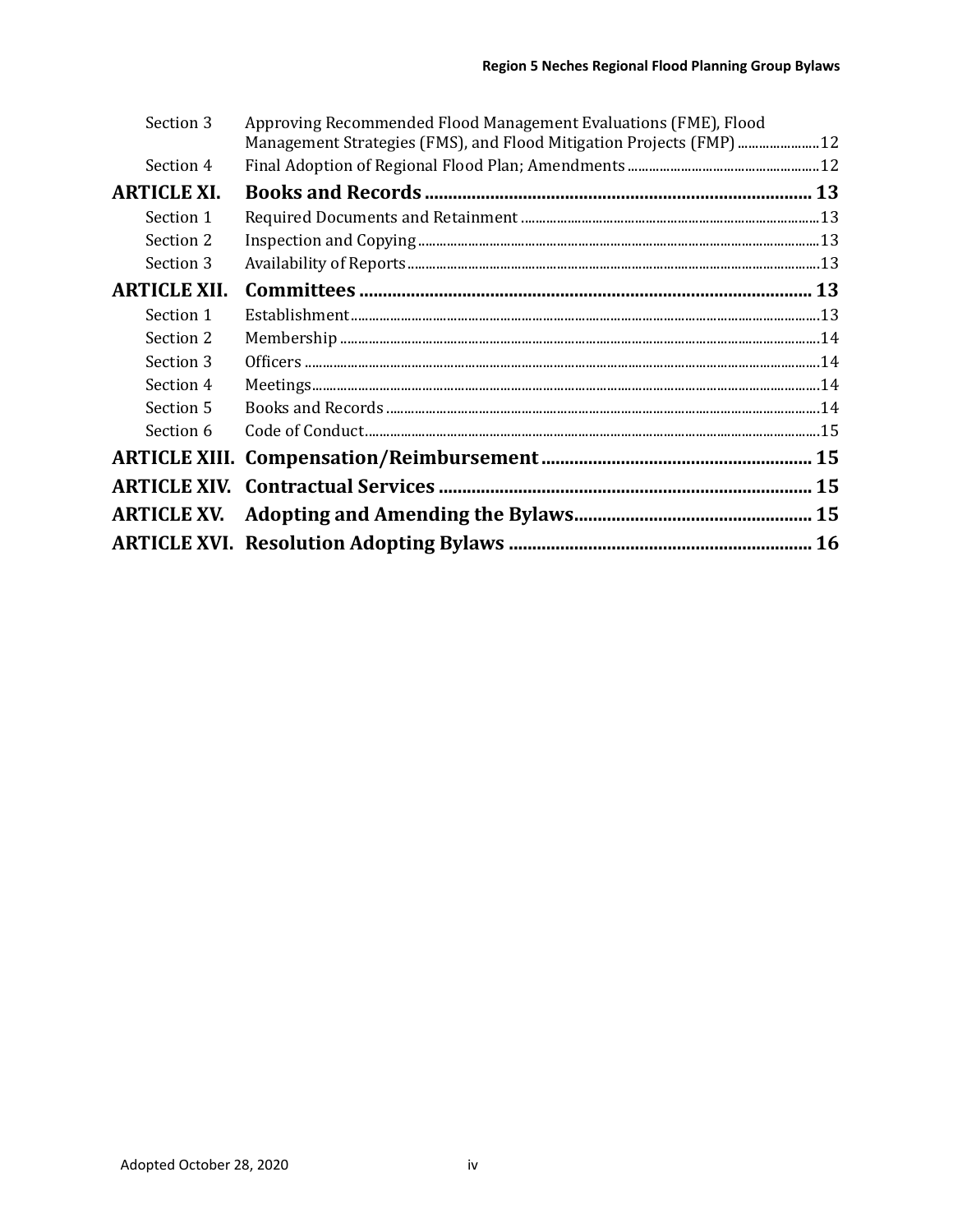| Section 3           | Approving Recommended Flood Management Evaluations (FME), Flood<br>Management Strategies (FMS), and Flood Mitigation Projects (FMP) 12 |  |
|---------------------|----------------------------------------------------------------------------------------------------------------------------------------|--|
| Section 4           |                                                                                                                                        |  |
| <b>ARTICLE XI.</b>  |                                                                                                                                        |  |
| Section 1           |                                                                                                                                        |  |
| Section 2           |                                                                                                                                        |  |
| Section 3           |                                                                                                                                        |  |
| <b>ARTICLE XII.</b> |                                                                                                                                        |  |
| Section 1           |                                                                                                                                        |  |
| Section 2           |                                                                                                                                        |  |
| Section 3           |                                                                                                                                        |  |
| Section 4           |                                                                                                                                        |  |
| Section 5           |                                                                                                                                        |  |
| Section 6           |                                                                                                                                        |  |
|                     |                                                                                                                                        |  |
|                     |                                                                                                                                        |  |
|                     |                                                                                                                                        |  |
|                     |                                                                                                                                        |  |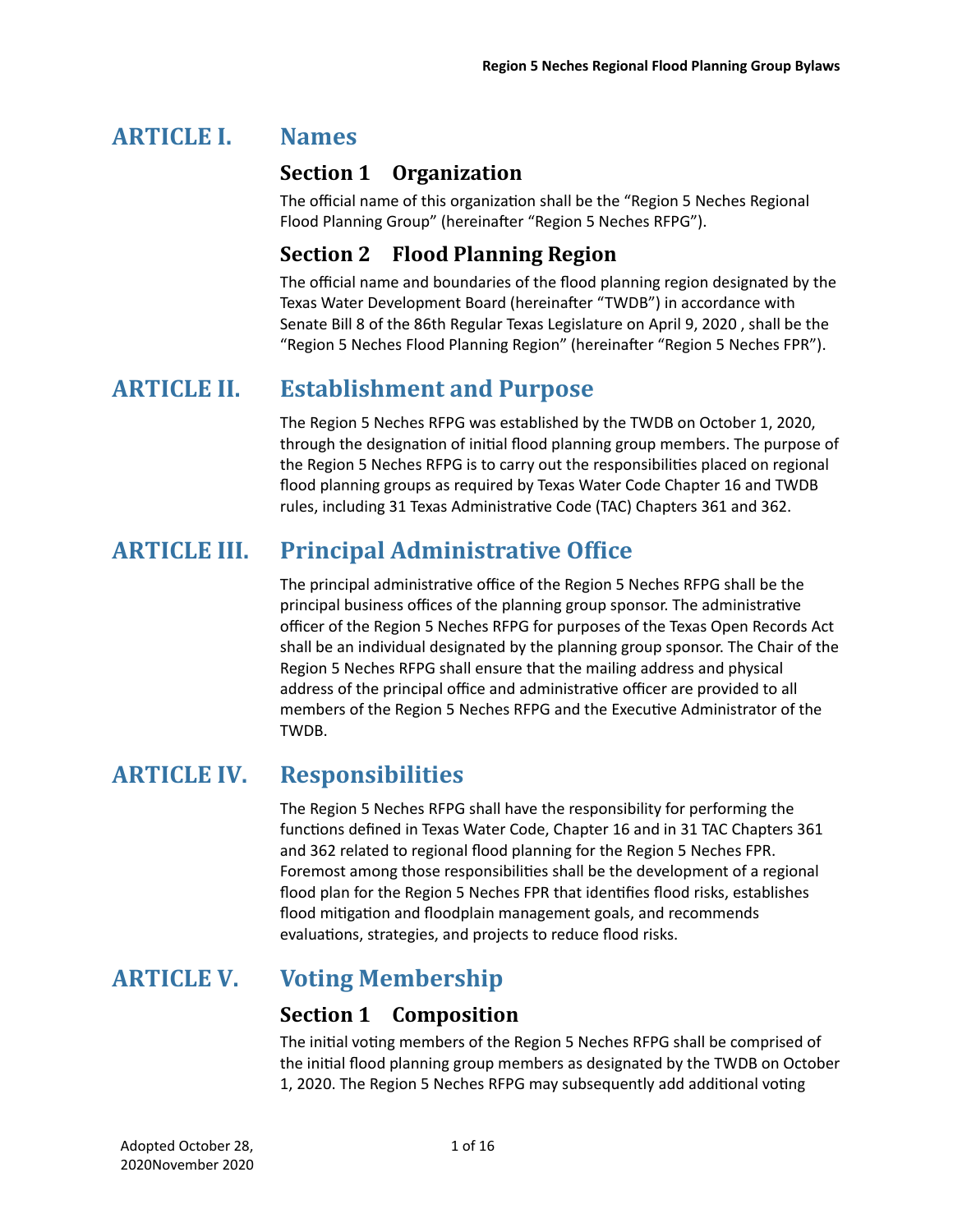#### <span id="page-4-2"></span><span id="page-4-1"></span><span id="page-4-0"></span>**ARTICLE I. Names**

#### **Section 1 Organization**

The official name of this organization shall be the "Region 5 Neches Regional Flood Planning Group" (hereinafter "Region 5 Neches RFPG").

#### **Section 2 Flood Planning Region**

The official name and boundaries of the flood planning region designated by the Texas Water Development Board (hereinafter "TWDB") in accordance with Senate Bill 8 of the 86th Regular Texas Legislature on April 9, 2020 , shall be the "Region 5 Neches Flood Planning Region" (hereinafter "Region 5 Neches FPR").

#### <span id="page-4-3"></span>**ARTICLE II. Establishment and Purpose**

The Region 5 Neches RFPG was established by the TWDB on October 1, 2020, through the designation of initial flood planning group members. The purpose of the Region 5 Neches RFPG is to carry out the responsibilities placed on regional flood planning groups as required by Texas Water Code Chapter 16 and TWDB rules, including 31 Texas Administrative Code (TAC) Chapters 361 and 362.

#### <span id="page-4-4"></span>**ARTICLE III.** Principal Administrative Office

The principal administrative office of the Region 5 Neches RFPG shall be the principal business offices of the planning group sponsor. The administrative officer of the Region 5 Neches RFPG for purposes of the Texas Open Records Act shall be an individual designated by the planning group sponsor. The Chair of the Region 5 Neches RFPG shall ensure that the mailing address and physical address of the principal office and administrative officer are provided to all members of the Region 5 Neches RFPG and the Executive Administrator of the TWDB.

#### <span id="page-4-5"></span>**ARTICLE IV. Responsibilities**

The Region 5 Neches RFPG shall have the responsibility for performing the functions defined in Texas Water Code, Chapter 16 and in 31 TAC Chapters 361 and 362 related to regional flood planning for the Region 5 Neches FPR. Foremost among those responsibilities shall be the development of a regional flood plan for the Region 5 Neches FPR that identifies flood risks, establishes flood mitigation and floodplain management goals, and recommends evaluations, strategies, and projects to reduce flood risks.

#### <span id="page-4-7"></span><span id="page-4-6"></span>**ARTICLE V. Voting Membership**

#### **Section 1 Composition**

The initial voting members of the Region 5 Neches RFPG shall be comprised of the ini�al flood planning group members as designated by the TWDB on October 1, 2020. The Region 5 Neches RFPG may subsequently add additional voting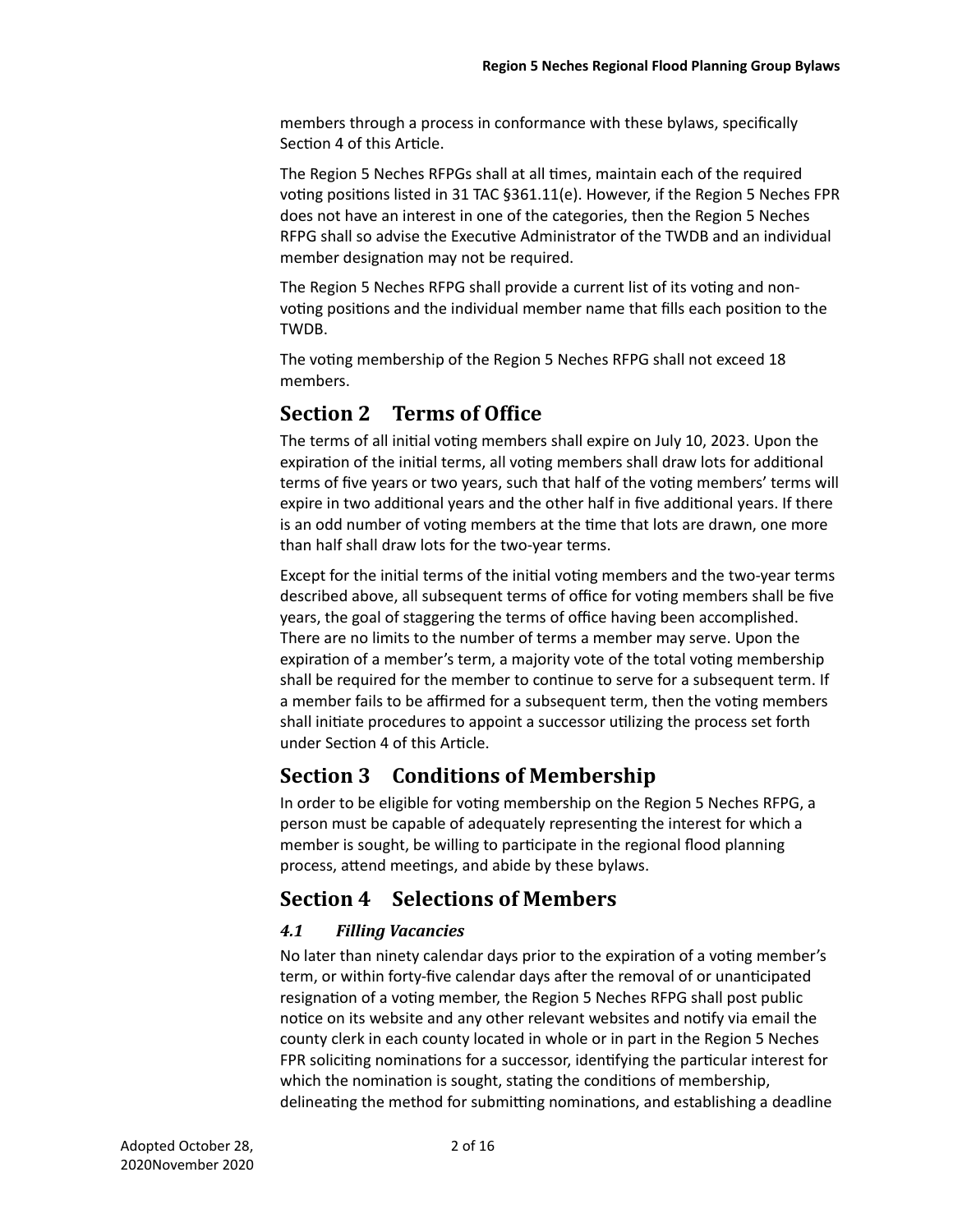members through a process in conformance with these bylaws, specifically Section 4 of this Article.

The Region 5 Neches RFPGs shall at all times, maintain each of the required voting positions listed in 31 TAC §361.11(e). However, if the Region 5 Neches FPR does not have an interest in one of the categories, then the Region 5 Neches RFPG shall so advise the Executive Administrator of the TWDB and an individual member designation may not be required.

The Region 5 Neches RFPG shall provide a current list of its voting and nonvoting positions and the individual member name that fills each position to the TWDB.

The voting membership of the Region 5 Neches RFPG shall not exceed 18 members.

#### <span id="page-5-0"></span>**Section 2 Terms of Office**

The terms of all initial voting members shall expire on July 10, 2023. Upon the expiration of the initial terms, all voting members shall draw lots for additional terms of five years or two years, such that half of the voting members' terms will expire in two additional years and the other half in five additional years. If there is an odd number of voting members at the time that lots are drawn, one more than half shall draw lots for the two-year terms.

Except for the initial terms of the initial voting members and the two-year terms described above, all subsequent terms of office for voting members shall be five years, the goal of staggering the terms of office having been accomplished. There are no limits to the number of terms a member may serve. Upon the expiration of a member's term, a majority vote of the total voting membership shall be required for the member to continue to serve for a subsequent term. If a member fails to be affirmed for a subsequent term, then the voting members shall initiate procedures to appoint a successor utilizing the process set forth under Section 4 of this Article.

#### <span id="page-5-1"></span>**Section 3 Conditions of Membership**

In order to be eligible for voting membership on the Region 5 Neches RFPG, a person must be capable of adequately represen�ng the interest for which a member is sought, be willing to participate in the regional flood planning process, attend meetings, and abide by these bylaws.

#### <span id="page-5-2"></span>**Section 4 Selections of Members**

#### *4.1 Filling Vacancies*

No later than ninety calendar days prior to the expiration of a voting member's term, or within forty-five calendar days a�er the removal of or unan�cipated resignation of a voting member, the Region 5 Neches RFPG shall post public notice on its website and any other relevant websites and notify via email the county clerk in each county located in whole or in part in the Region 5 Neches FPR soliciting nominations for a successor, identifying the particular interest for which the nomination is sought, stating the conditions of membership, delineating the method for submitting nominations, and establishing a deadline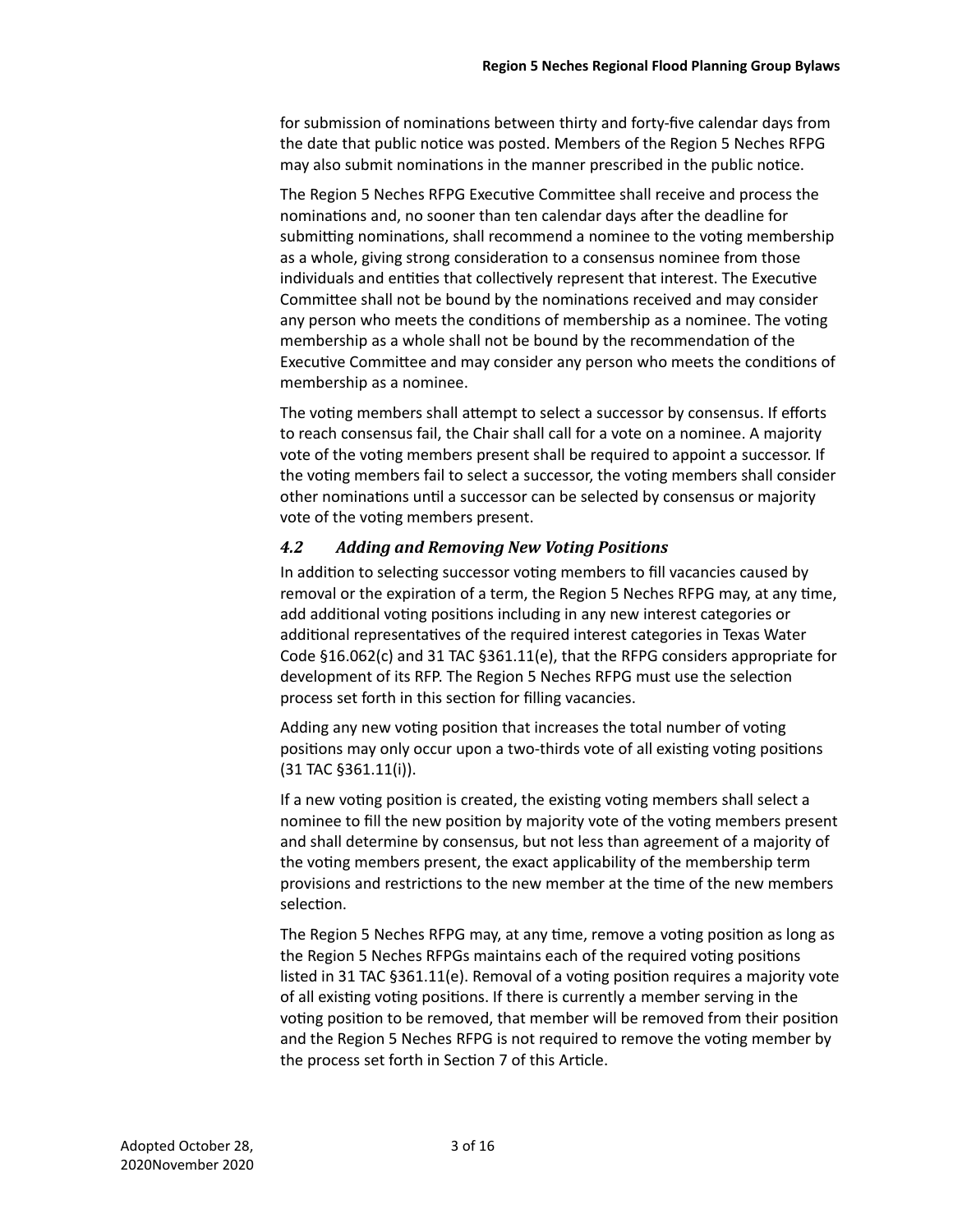for submission of nominations between thirty and forty-five calendar days from the date that public notice was posted. Members of the Region 5 Neches RFPG may also submit nominations in the manner prescribed in the public notice.

The Region 5 Neches RFPG Executive Committee shall receive and process the nominations and, no sooner than ten calendar days after the deadline for submitting nominations, shall recommend a nominee to the voting membership as a whole, giving strong consideration to a consensus nominee from those individuals and entities that collectively represent that interest. The Executive Committee shall not be bound by the nominations received and may consider any person who meets the conditions of membership as a nominee. The voting membership as a whole shall not be bound by the recommendation of the Executive Committee and may consider any person who meets the conditions of membership as a nominee.

The voting members shall attempt to select a successor by consensus. If efforts to reach consensus fail, the Chair shall call for a vote on a nominee. A majority vote of the voting members present shall be required to appoint a successor. If the voting members fail to select a successor, the voting members shall consider other nominations until a successor can be selected by consensus or majority vote of the voting members present.

#### *4.2 Adding and Removing New Voting Positions*

In addition to selecting successor voting members to fill vacancies caused by removal or the expiration of a term, the Region 5 Neches RFPG may, at any time, add additional voting positions including in any new interest categories or additional representatives of the required interest categories in Texas Water Code §16.062(c) and 31 TAC §361.11(e), that the RFPG considers appropriate for development of its RFP. The Region 5 Neches RFPG must use the selection process set forth in this section for filling vacancies.

Adding any new voting position that increases the total number of voting positions may only occur upon a two-thirds vote of all existing voting positions (31 TAC §361.11(i)).

If a new voting position is created, the existing voting members shall select a nominee to fill the new position by majority vote of the voting members present and shall determine by consensus, but not less than agreement of a majority of the voting members present, the exact applicability of the membership term provisions and restrictions to the new member at the time of the new members selection.

The Region 5 Neches RFPG may, at any time, remove a voting position as long as the Region 5 Neches RFPGs maintains each of the required voting positions listed in 31 TAC §361.11(e). Removal of a voting position requires a majority vote of all existing voting positions. If there is currently a member serving in the voting position to be removed, that member will be removed from their position and the Region 5 Neches RFPG is not required to remove the voting member by the process set forth in Section 7 of this Article.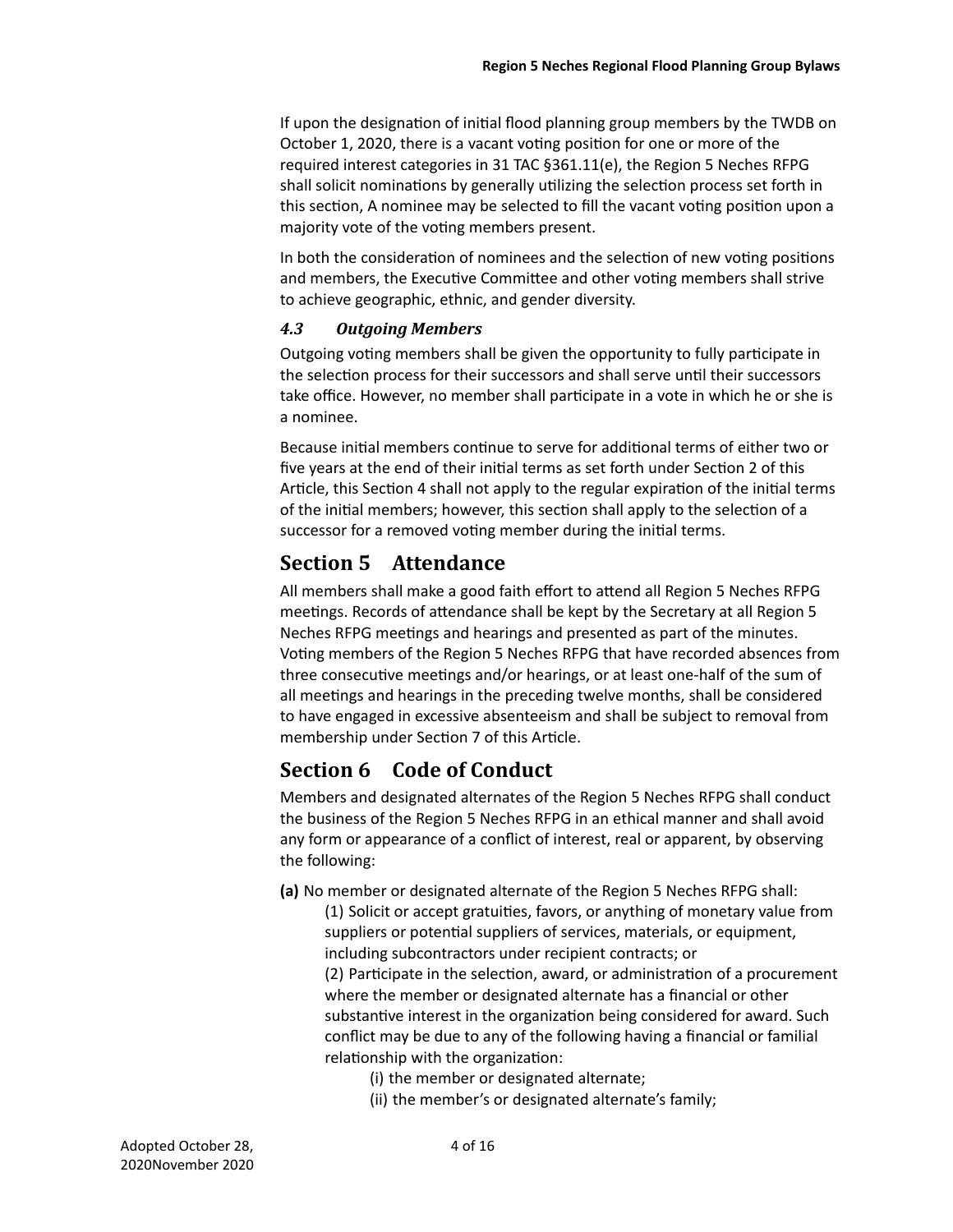If upon the designation of initial flood planning group members by the TWDB on October 1, 2020, there is a vacant voting position for one or more of the required interest categories in 31 TAC §361.11(e), the Region 5 Neches RFPG shall solicit nominations by generally utilizing the selection process set forth in this section, A nominee may be selected to fill the vacant voting position upon a majority vote of the voting members present.

In both the consideration of nominees and the selection of new voting positions and members, the Executive Committee and other voting members shall strive to achieve geographic, ethnic, and gender diversity.

#### *4.3 Outgoing Members*

Outgoing voting members shall be given the opportunity to fully participate in the selection process for their successors and shall serve until their successors take office. However, no member shall participate in a vote in which he or she is a nominee.

Because initial members continue to serve for additional terms of either two or five years at the end of their initial terms as set forth under Section 2 of this Article, this Section 4 shall not apply to the regular expiration of the initial terms of the initial members; however, this section shall apply to the selection of a successor for a removed voting member during the initial terms.

#### <span id="page-7-0"></span>**Section 5 Attendance**

All members shall make a good faith effort to attend all Region 5 Neches RFPG meetings. Records of attendance shall be kept by the Secretary at all Region 5 Neches RFPG meetings and hearings and presented as part of the minutes. Voting members of the Region 5 Neches RFPG that have recorded absences from three consecutive meetings and/or hearings, or at least one-half of the sum of all meetings and hearings in the preceding twelve months, shall be considered to have engaged in excessive absenteeism and shall be subject to removal from membership under Section 7 of this Article.

#### <span id="page-7-1"></span>**Section 6 Code of Conduct**

Members and designated alternates of the Region 5 Neches RFPG shall conduct the business of the Region 5 Neches RFPG in an ethical manner and shall avoid any form or appearance of a conflict of interest, real or apparent, by observing the following:

**(a)** No member or designated alternate of the Region 5 Neches RFPG shall:

(1) Solicit or accept gratui�es, favors, or anything of monetary value from suppliers or potential suppliers of services, materials, or equipment, including subcontractors under recipient contracts; or (2) Participate in the selection, award, or administration of a procurement where the member or designated alternate has a financial or other substantive interest in the organization being considered for award. Such conflict may be due to any of the following having a financial or familial relationship with the organization:

- (i) the member or designated alternate;
- (ii) the member's or designated alternate's family;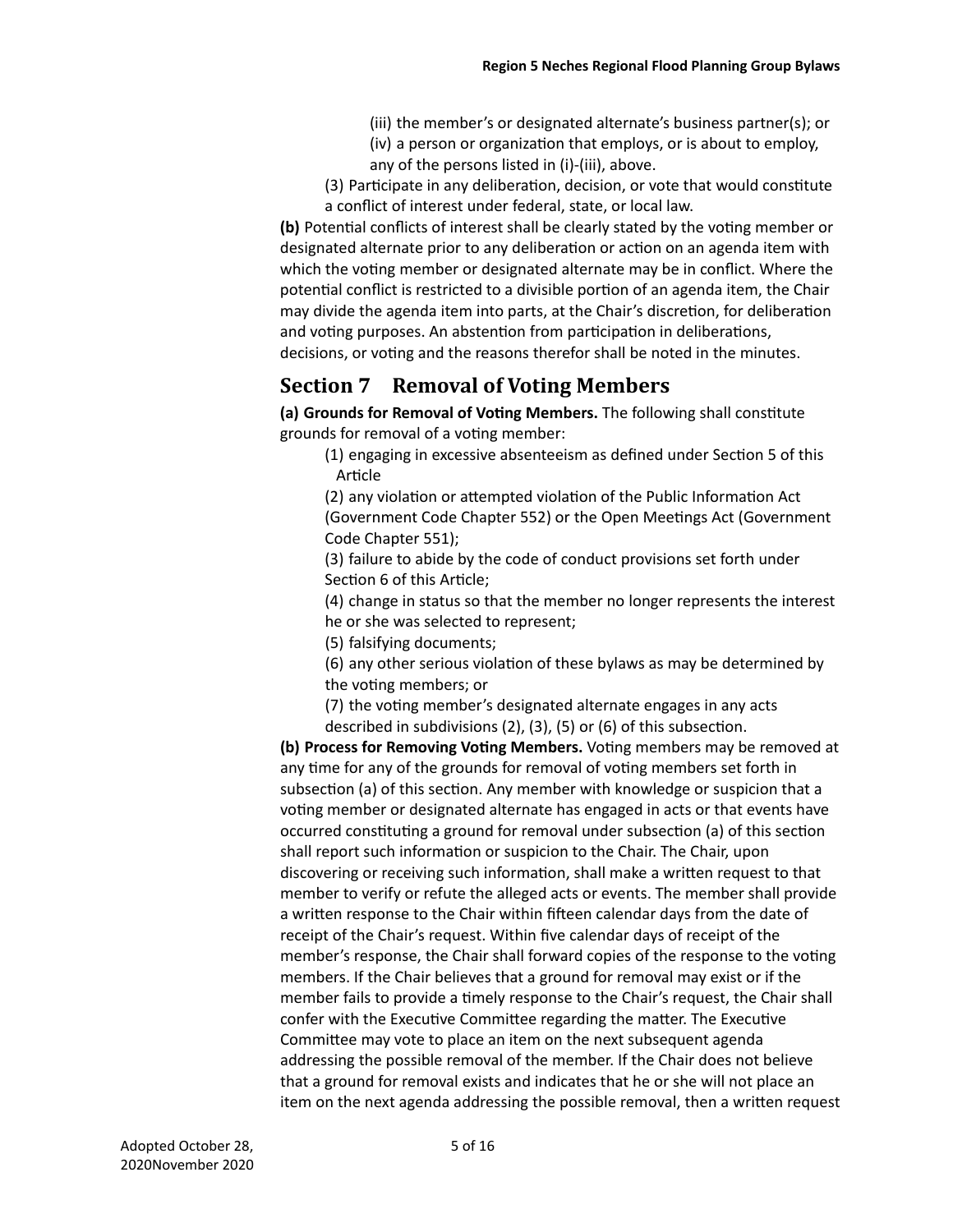- (iii) the member's or designated alternate's business partner(s); or
- (iv) a person or organization that employs, or is about to employ,
- any of the persons listed in (i)-(iii), above.
- (3) Participate in any deliberation, decision, or vote that would constitute a conflict of interest under federal, state, or local law.

**(b)** Potential conflicts of interest shall be clearly stated by the voting member or designated alternate prior to any deliberation or action on an agenda item with which the voting member or designated alternate may be in conflict. Where the potential conflict is restricted to a divisible portion of an agenda item, the Chair may divide the agenda item into parts, at the Chair's discretion, for deliberation and voting purposes. An abstention from participation in deliberations, decisions, or voting and the reasons therefor shall be noted in the minutes.

#### <span id="page-8-0"></span>**Section 7 Removal of Voting Members**

(a) Grounds for Removal of Voting Members. The following shall constitute grounds for removal of a voting member:

(1) engaging in excessive absenteeism as defined under Section 5 of this Article

(2) any violation or attempted violation of the Public Information Act (Government Code Chapter 552) or the Open Meetings Act (Government) Code Chapter 551);

(3) failure to abide by the code of conduct provisions set forth under Section 6 of this Article;

(4) change in status so that the member no longer represents the interest he or she was selected to represent;

(5) falsifying documents;

(6) any other serious violation of these bylaws as may be determined by the voting members; or

(7) the voting member's designated alternate engages in any acts described in subdivisions (2), (3), (5) or (6) of this subsection.

**(b) Process for Removing Voting Members.** Voting members may be removed at any time for any of the grounds for removal of voting members set forth in subsection (a) of this section. Any member with knowledge or suspicion that a voting member or designated alternate has engaged in acts or that events have occurred constituting a ground for removal under subsection (a) of this section shall report such information or suspicion to the Chair. The Chair, upon discovering or receiving such information, shall make a written request to that member to verify or refute the alleged acts or events. The member shall provide a written response to the Chair within fifteen calendar days from the date of receipt of the Chair's request. Within five calendar days of receipt of the member's response, the Chair shall forward copies of the response to the voting members. If the Chair believes that a ground for removal may exist or if the member fails to provide a timely response to the Chair's request, the Chair shall confer with the Executive Committee regarding the matter. The Executive Commitee may vote to place an item on the next subsequent agenda addressing the possible removal of the member. If the Chair does not believe that a ground for removal exists and indicates that he or she will not place an item on the next agenda addressing the possible removal, then a writen request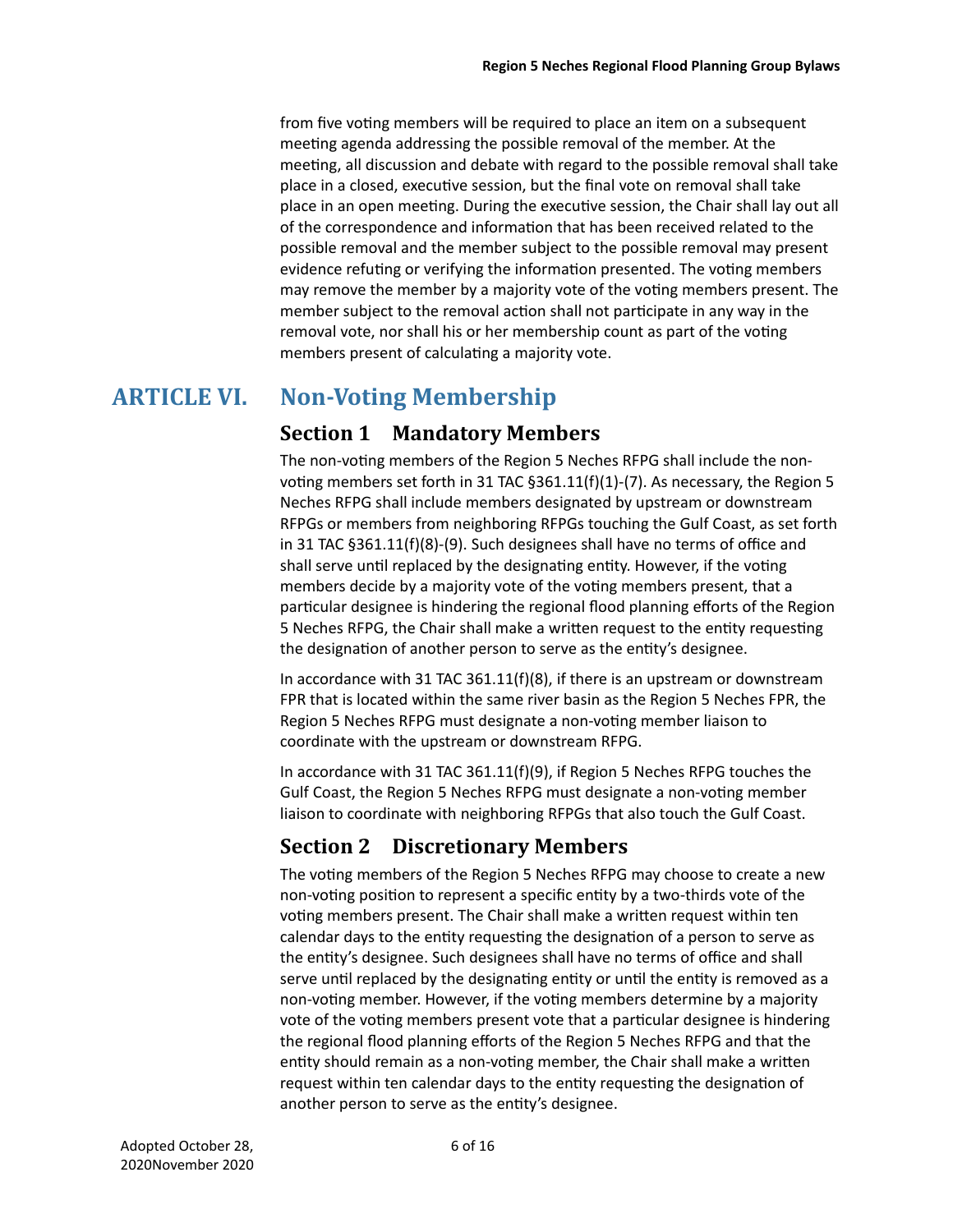from five voting members will be required to place an item on a subsequent meeting agenda addressing the possible removal of the member. At the meeting, all discussion and debate with regard to the possible removal shall take place in a closed, execu�ve session, but the final vote on removal shall take place in an open meeting. During the executive session, the Chair shall lay out all of the correspondence and information that has been received related to the possible removal and the member subject to the possible removal may present evidence refuting or verifying the information presented. The voting members may remove the member by a majority vote of the voting members present. The member subject to the removal action shall not participate in any way in the removal vote, nor shall his or her membership count as part of the voting members present of calculating a majority vote.

#### <span id="page-9-1"></span><span id="page-9-0"></span>**ARTICLE VI. Non-Voting Membership**

#### **Section 1 Mandatory Members**

The non-voting members of the Region 5 Neches RFPG shall include the nonvoting members set forth in 31 TAC  $\S 361.11(f)(1)-(7)$ . As necessary, the Region 5 Neches RFPG shall include members designated by upstream or downstream RFPGs or members from neighboring RFPGs touching the Gulf Coast, as set forth in 31 TAC §361.11(f)(8)-(9). Such designees shall have no terms of office and shall serve until replaced by the designating entity. However, if the voting members decide by a majority vote of the voting members present, that a particular designee is hindering the regional flood planning efforts of the Region 5 Neches RFPG, the Chair shall make a writen request to the en�ty reques�ng the designation of another person to serve as the entity's designee.

In accordance with 31 TAC 361.11( $f$ )(8), if there is an upstream or downstream FPR that is located within the same river basin as the Region 5 Neches FPR, the Region 5 Neches RFPG must designate a non-voting member liaison to coordinate with the upstream or downstream RFPG.

In accordance with 31 TAC 361.11(f)(9), if Region 5 Neches RFPG touches the Gulf Coast, the Region 5 Neches RFPG must designate a non-voting member liaison to coordinate with neighboring RFPGs that also touch the Gulf Coast.

#### <span id="page-9-2"></span>**Section 2 Discretionary Members**

The voting members of the Region 5 Neches RFPG may choose to create a new non-voting position to represent a specific entity by a two-thirds vote of the voting members present. The Chair shall make a written request within ten calendar days to the entity requesting the designation of a person to serve as the entity's designee. Such designees shall have no terms of office and shall serve until replaced by the designating entity or until the entity is removed as a non-voting member. However, if the voting members determine by a majority vote of the voting members present vote that a particular designee is hindering the regional flood planning efforts of the Region 5 Neches RFPG and that the entity should remain as a non-voting member, the Chair shall make a written request within ten calendar days to the entity requesting the designation of another person to serve as the entity's designee.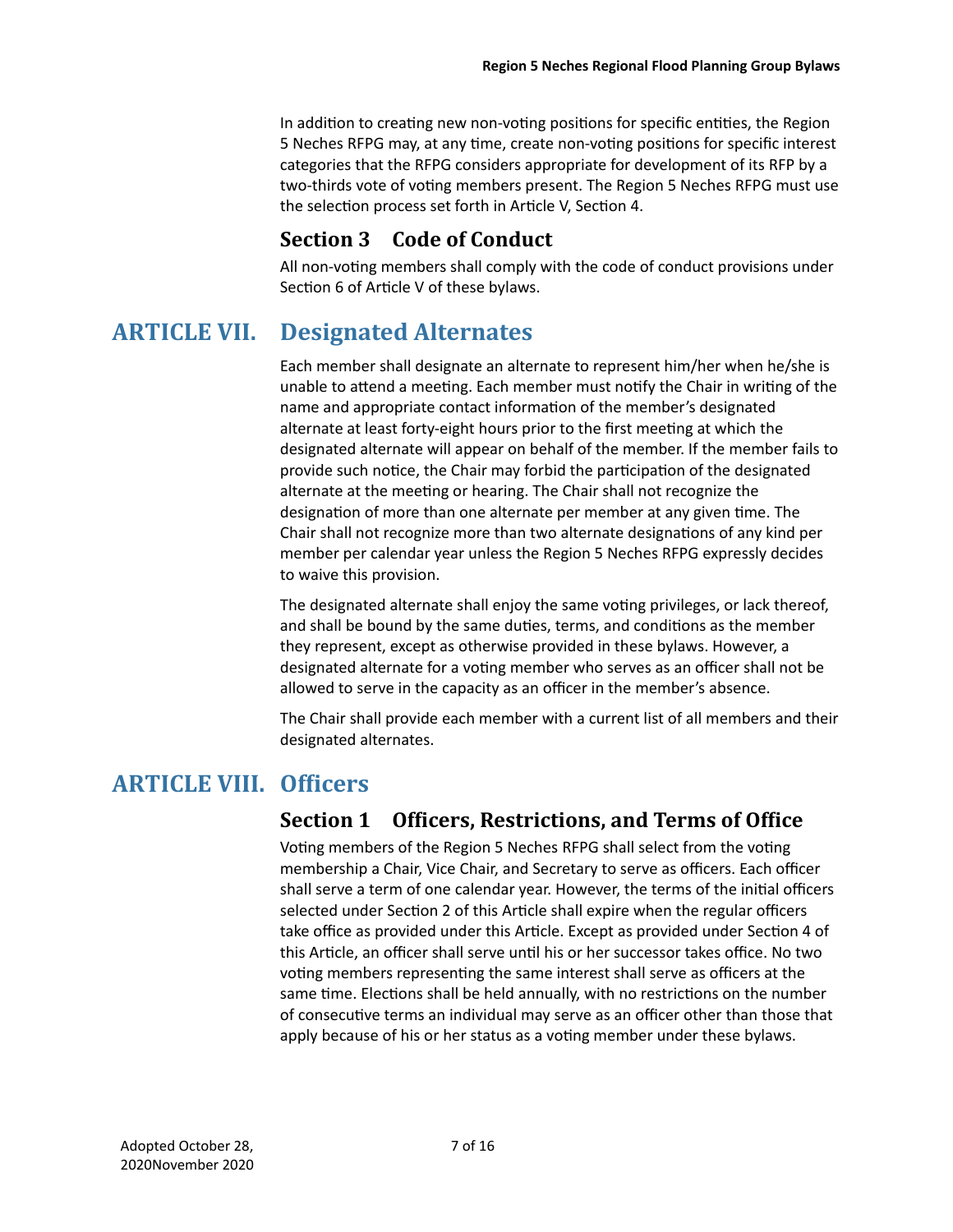In addition to creating new non-voting positions for specific entities, the Region 5 Neches RFPG may, at any time, create non-voting positions for specific interest categories that the RFPG considers appropriate for development of its RFP by a two-thirds vote of voting members present. The Region 5 Neches RFPG must use the selection process set forth in Article V, Section 4.

#### **Section 3 Code of Conduct**

All non-voting members shall comply with the code of conduct provisions under Section 6 of Article V of these bylaws.

#### <span id="page-10-1"></span><span id="page-10-0"></span>**ARTICLE VII. Designated Alternates**

Each member shall designate an alternate to represent him/her when he/she is unable to attend a meeting. Each member must notify the Chair in writing of the name and appropriate contact information of the member's designated alternate at least forty-eight hours prior to the first meeting at which the designated alternate will appear on behalf of the member. If the member fails to provide such notice, the Chair may forbid the participation of the designated alternate at the meeting or hearing. The Chair shall not recognize the designation of more than one alternate per member at any given time. The Chair shall not recognize more than two alternate designations of any kind per member per calendar year unless the Region 5 Neches RFPG expressly decides to waive this provision.

The designated alternate shall enjoy the same voting privileges, or lack thereof, and shall be bound by the same duties, terms, and conditions as the member they represent, except as otherwise provided in these bylaws. However, a designated alternate for a voting member who serves as an officer shall not be allowed to serve in the capacity as an officer in the member's absence.

The Chair shall provide each member with a current list of all members and their designated alternates.

#### <span id="page-10-3"></span><span id="page-10-2"></span>**ARTICLE VIII. Of�icers**

#### **Section 1 Officers, Restrictions, and Terms of Office**

Voting members of the Region 5 Neches RFPG shall select from the voting membership a Chair, Vice Chair, and Secretary to serve as officers. Each officer shall serve a term of one calendar year. However, the terms of the initial officers selected under Section 2 of this Article shall expire when the regular officers take office as provided under this Article. Except as provided under Section 4 of this Article, an officer shall serve until his or her successor takes office. No two voting members representing the same interest shall serve as officers at the same time. Elections shall be held annually, with no restrictions on the number of consecutive terms an individual may serve as an officer other than those that apply because of his or her status as a voting member under these bylaws.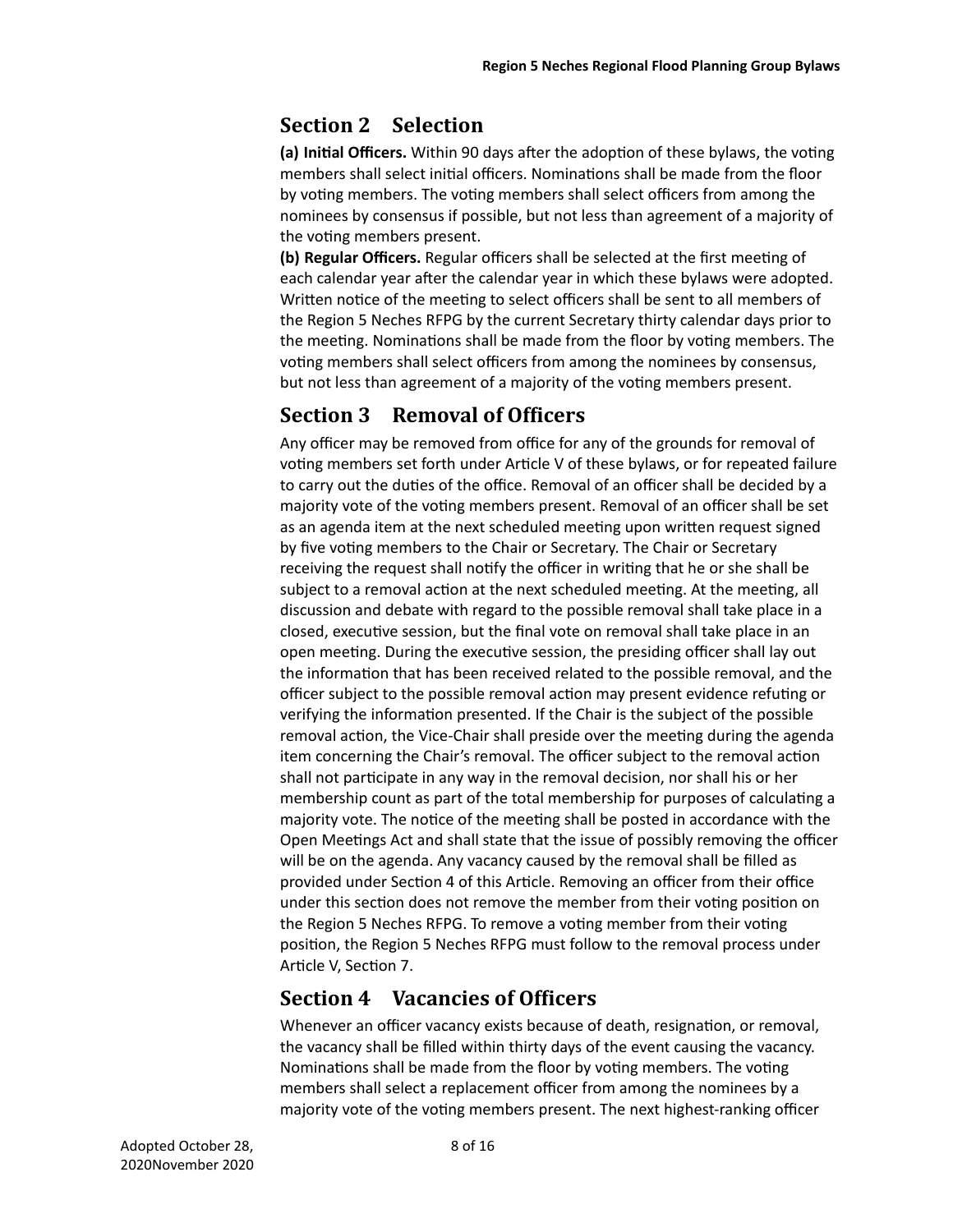#### <span id="page-11-0"></span>**Section 2 Selection**

(a) Initial Officers. Within 90 days after the adoption of these bylaws, the voting members shall select initial officers. Nominations shall be made from the floor by voting members. The voting members shall select officers from among the nominees by consensus if possible, but not less than agreement of a majority of the voting members present.

(b) **Regular Officers.** Regular officers shall be selected at the first meeting of each calendar year a�er the calendar year in which these bylaws were adopted. Written notice of the meeting to select officers shall be sent to all members of the Region 5 Neches RFPG by the current Secretary thirty calendar days prior to the meeting. Nominations shall be made from the floor by voting members. The voting members shall select officers from among the nominees by consensus, but not less than agreement of a majority of the voting members present.

#### <span id="page-11-1"></span>**Section 3 Removal of Officers**

Any officer may be removed from office for any of the grounds for removal of voting members set forth under Article V of these bylaws, or for repeated failure to carry out the duties of the office. Removal of an officer shall be decided by a majority vote of the voting members present. Removal of an officer shall be set as an agenda item at the next scheduled meeting upon written request signed by five voting members to the Chair or Secretary. The Chair or Secretary receiving the request shall notify the officer in writing that he or she shall be subject to a removal action at the next scheduled meeting. At the meeting, all discussion and debate with regard to the possible removal shall take place in a closed, executive session, but the final vote on removal shall take place in an open meeting. During the executive session, the presiding officer shall lay out the information that has been received related to the possible removal, and the officer subject to the possible removal action may present evidence refuting or verifying the information presented. If the Chair is the subject of the possible removal action, the Vice-Chair shall preside over the meeting during the agenda item concerning the Chair's removal. The officer subject to the removal action shall not participate in any way in the removal decision, nor shall his or her membership count as part of the total membership for purposes of calculating a majority vote. The notice of the meeting shall be posted in accordance with the Open Meetings Act and shall state that the issue of possibly removing the officer will be on the agenda. Any vacancy caused by the removal shall be filled as provided under Section 4 of this Article. Removing an officer from their office under this section does not remove the member from their voting position on the Region 5 Neches RFPG. To remove a voting member from their voting posi�on, the Region 5 Neches RFPG must follow to the removal process under Article V, Section 7.

#### <span id="page-11-2"></span>**Section 4 • Vacancies of Officers**

Whenever an officer vacancy exists because of death, resignation, or removal, the vacancy shall be filled within thirty days of the event causing the vacancy. Nominations shall be made from the floor by voting members. The voting members shall select a replacement officer from among the nominees by a majority vote of the voting members present. The next highest-ranking officer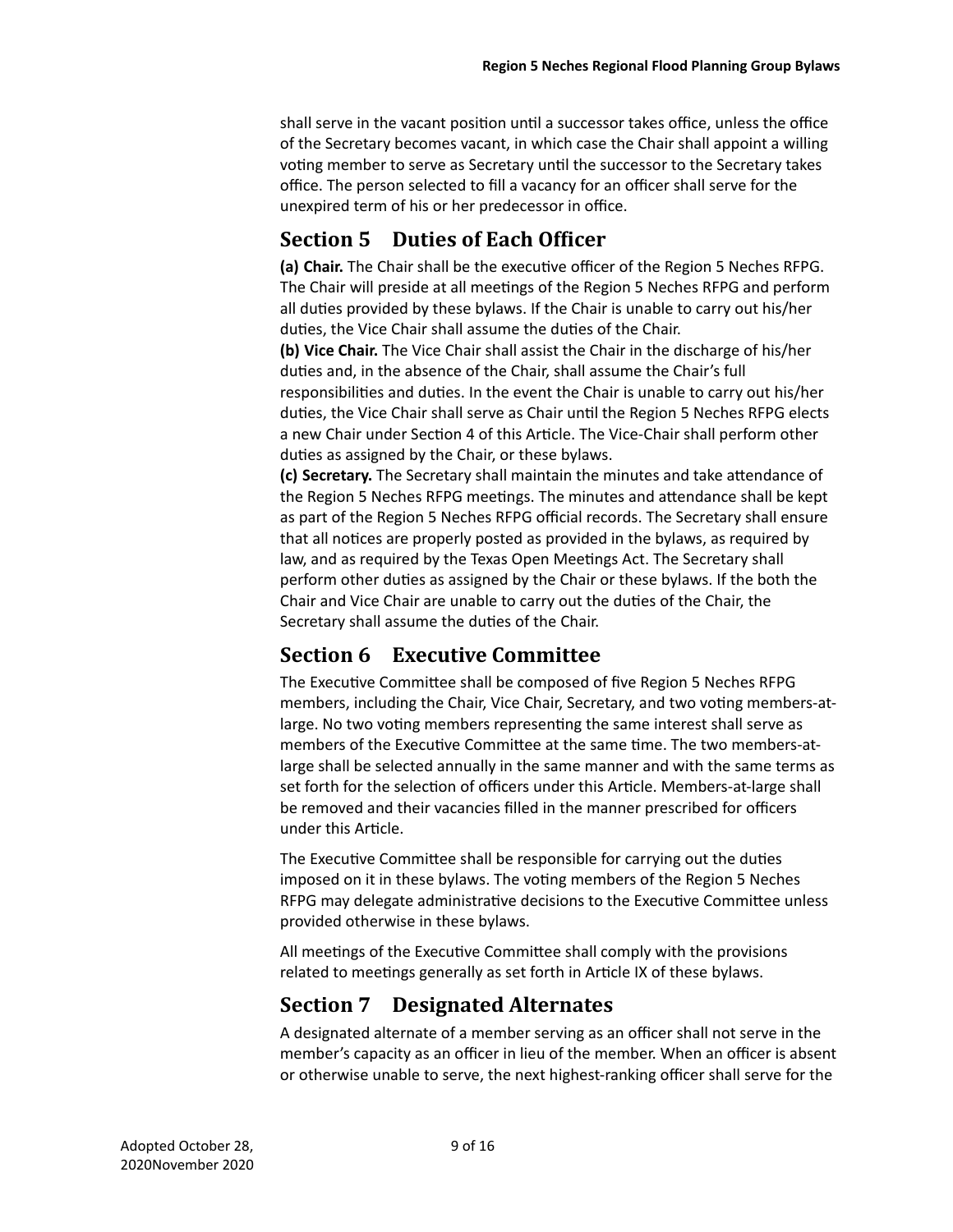shall serve in the vacant position until a successor takes office, unless the office of the Secretary becomes vacant, in which case the Chair shall appoint a willing voting member to serve as Secretary until the successor to the Secretary takes office. The person selected to fill a vacancy for an officer shall serve for the unexpired term of his or her predecessor in office.

#### <span id="page-12-0"></span>**Section 5 Duties of Each Officer**

**(a) Chair.** The Chair shall be the executive officer of the Region 5 Neches RFPG. The Chair will preside at all meetings of the Region 5 Neches RFPG and perform all duties provided by these bylaws. If the Chair is unable to carry out his/her duties, the Vice Chair shall assume the duties of the Chair.

**(b) Vice Chair.** The Vice Chair shall assist the Chair in the discharge of his/her duties and, in the absence of the Chair, shall assume the Chair's full responsibilities and duties. In the event the Chair is unable to carry out his/her duties, the Vice Chair shall serve as Chair until the Region 5 Neches RFPG elects a new Chair under Section 4 of this Article. The Vice-Chair shall perform other duties as assigned by the Chair, or these bylaws.

**(c) Secretary.** The Secretary shall maintain the minutes and take atendance of the Region 5 Neches RFPG meetings. The minutes and attendance shall be kept as part of the Region 5 Neches RFPG official records. The Secretary shall ensure that all notices are properly posted as provided in the bylaws, as required by law, and as required by the Texas Open Meetings Act. The Secretary shall perform other duties as assigned by the Chair or these bylaws. If the both the Chair and Vice Chair are unable to carry out the du�es of the Chair, the Secretary shall assume the duties of the Chair.

#### <span id="page-12-1"></span>**Section 6 Executive Committee**

The Executive Committee shall be composed of five Region 5 Neches RFPG members, including the Chair, Vice Chair, Secretary, and two voting members-atlarge. No two voting members representing the same interest shall serve as members of the Executive Committee at the same time. The two members-atlarge shall be selected annually in the same manner and with the same terms as set forth for the selection of officers under this Article. Members-at-large shall be removed and their vacancies filled in the manner prescribed for officers under this Article.

The Executive Committee shall be responsible for carrying out the duties imposed on it in these bylaws. The voting members of the Region 5 Neches RFPG may delegate administrative decisions to the Executive Committee unless provided otherwise in these bylaws.

All meetings of the Executive Committee shall comply with the provisions related to meetings generally as set forth in Article IX of these bylaws.

#### <span id="page-12-2"></span>**Section 7 Designated Alternates**

A designated alternate of a member serving as an officer shall not serve in the member's capacity as an officer in lieu of the member. When an officer is absent or otherwise unable to serve, the next highest-ranking officer shall serve for the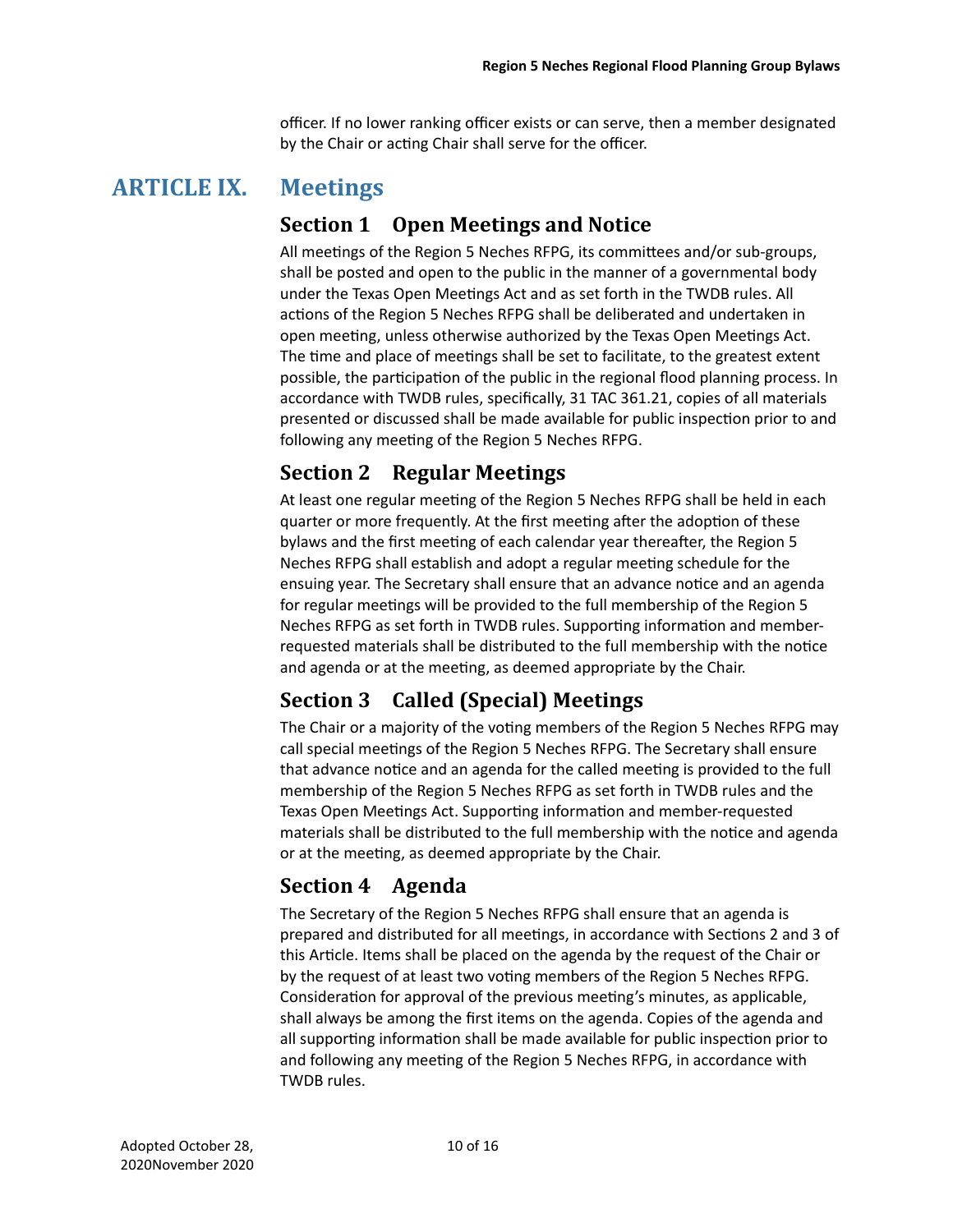officer. If no lower ranking officer exists or can serve, then a member designated by the Chair or acting Chair shall serve for the officer.

#### <span id="page-13-1"></span><span id="page-13-0"></span>**ARTICLE IX. Meetings**

#### **Section 1 Open Meetings and Notice**

All meetings of the Region 5 Neches RFPG, its committees and/or sub-groups, shall be posted and open to the public in the manner of a governmental body under the Texas Open Meetings Act and as set forth in the TWDB rules. All actions of the Region 5 Neches RFPG shall be deliberated and undertaken in open meeting, unless otherwise authorized by the Texas Open Meetings Act. The time and place of meetings shall be set to facilitate, to the greatest extent possible, the participation of the public in the regional flood planning process. In accordance with TWDB rules, specifically, 31 TAC 361.21, copies of all materials presented or discussed shall be made available for public inspection prior to and following any meeting of the Region 5 Neches RFPG.

#### <span id="page-13-2"></span>**Section 2 Regular Meetings**

At least one regular meeting of the Region 5 Neches RFPG shall be held in each quarter or more frequently. At the first meeting after the adoption of these bylaws and the first meeting of each calendar year thereafter, the Region 5 Neches RFPG shall establish and adopt a regular meeting schedule for the ensuing year. The Secretary shall ensure that an advance notice and an agenda for regular meetings will be provided to the full membership of the Region 5 Neches RFPG as set forth in TWDB rules. Supporting information and memberrequested materials shall be distributed to the full membership with the notice and agenda or at the meeting, as deemed appropriate by the Chair.

#### <span id="page-13-3"></span>**Section 3 Called (Special) Meetings**

The Chair or a majority of the voting members of the Region 5 Neches RFPG may call special meetings of the Region 5 Neches RFPG. The Secretary shall ensure that advance notice and an agenda for the called meeting is provided to the full membership of the Region 5 Neches RFPG as set forth in TWDB rules and the Texas Open Meetings Act. Supporting information and member-requested materials shall be distributed to the full membership with the notice and agenda or at the meeting, as deemed appropriate by the Chair.

#### <span id="page-13-4"></span>**Section 4 Agenda**

The Secretary of the Region 5 Neches RFPG shall ensure that an agenda is prepared and distributed for all meetings, in accordance with Sections 2 and 3 of this Ar�cle. Items shall be placed on the agenda by the request of the Chair or by the request of at least two voting members of the Region 5 Neches RFPG. Consideration for approval of the previous meeting's minutes, as applicable, shall always be among the first items on the agenda. Copies of the agenda and all supporting information shall be made available for public inspection prior to and following any meeting of the Region 5 Neches RFPG, in accordance with TWDB rules.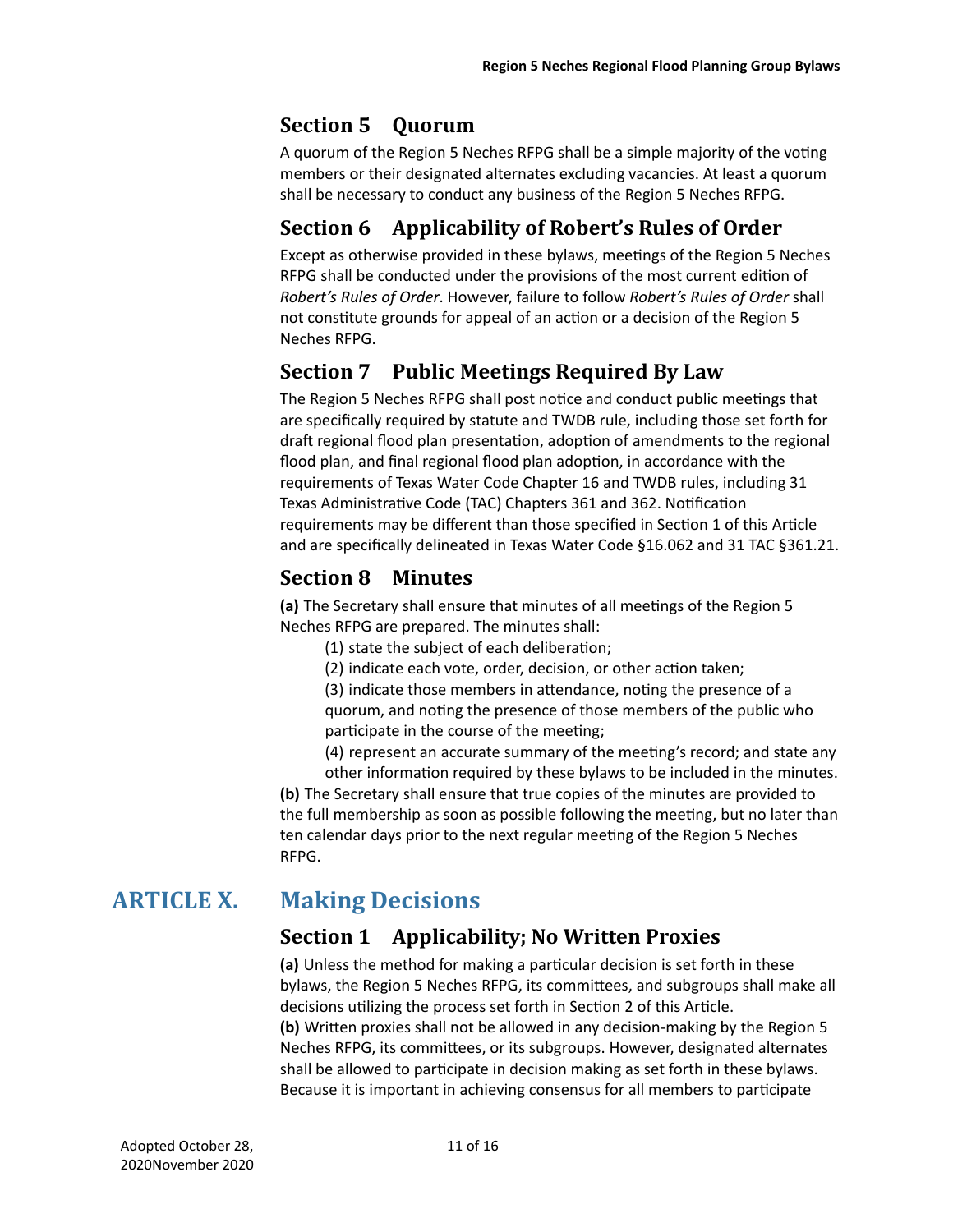#### <span id="page-14-0"></span>**Section 5 Quorum**

A quorum of the Region 5 Neches RFPG shall be a simple majority of the voting members or their designated alternates excluding vacancies. At least a quorum shall be necessary to conduct any business of the Region 5 Neches RFPG.

#### <span id="page-14-1"></span>**Section 6 Applicability of Robert's Rules of Order**

Except as otherwise provided in these bylaws, meetings of the Region 5 Neches RFPG shall be conducted under the provisions of the most current edition of *Robert's Rules of Order*. However, failure to follow *Robert's Rules of Order* shall not constitute grounds for appeal of an action or a decision of the Region 5 Neches RFPG.

#### <span id="page-14-2"></span>**Section 7 Public Meetings Required By Law**

The Region 5 Neches RFPG shall post notice and conduct public meetings that are specifically required by statute and TWDB rule, including those set forth for draft regional flood plan presentation, adoption of amendments to the regional flood plan, and final regional flood plan adoption, in accordance with the requirements of Texas Water Code Chapter 16 and TWDB rules, including 31 Texas Administrative Code (TAC) Chapters 361 and 362. Notification requirements may be different than those specified in Section 1 of this Article and are specifically delineated in Texas Water Code §16.062 and 31 TAC §361.21.

#### <span id="page-14-3"></span>**Section 8 Minutes**

(a) The Secretary shall ensure that minutes of all meetings of the Region 5 Neches RFPG are prepared. The minutes shall:

- (1) state the subject of each deliberation;
- (2) indicate each vote, order, decision, or other action taken;

(3) indicate those members in attendance, noting the presence of a quorum, and noting the presence of those members of the public who participate in the course of the meeting;

(4) represent an accurate summary of the meeting's record; and state any

other information required by these bylaws to be included in the minutes. **(b)** The Secretary shall ensure that true copies of the minutes are provided to the full membership as soon as possible following the meeting, but no later than ten calendar days prior to the next regular meeting of the Region 5 Neches RFPG.

#### <span id="page-14-5"></span><span id="page-14-4"></span>**ARTICLE X. Making Decisions**

#### **Section 1 Applicability; No Written Proxies**

**(a)** Unless the method for making a par�cular decision is set forth in these bylaws, the Region 5 Neches RFPG, its commitees, and subgroups shall make all decisions utilizing the process set forth in Section 2 of this Article. **(b)** Writen proxies shall not be allowed in any decision-making by the Region 5 Neches RFPG, its commitees, or its subgroups. However, designated alternates shall be allowed to participate in decision making as set forth in these bylaws. Because it is important in achieving consensus for all members to participate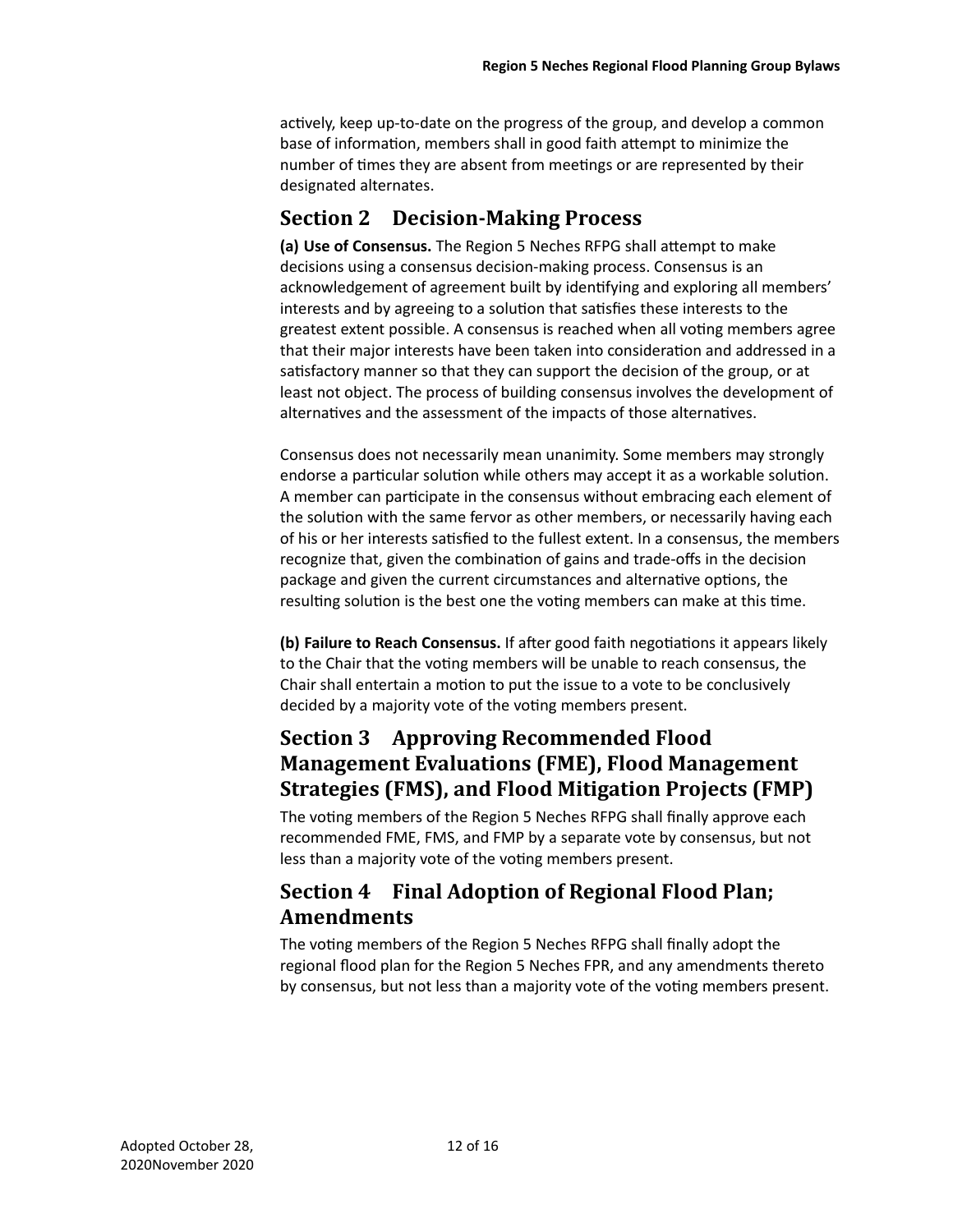actively, keep up-to-date on the progress of the group, and develop a common base of information, members shall in good faith attempt to minimize the number of times they are absent from meetings or are represented by their designated alternates.

#### <span id="page-15-0"></span>**Section 2 Decision-Making Process**

**(a) Use of Consensus.** The Region 5 Neches RFPG shall attempt to make decisions using a consensus decision-making process. Consensus is an acknowledgement of agreement built by iden�fying and exploring all members' interests and by agreeing to a solution that satisfies these interests to the greatest extent possible. A consensus is reached when all voting members agree that their major interests have been taken into consideration and addressed in a satisfactory manner so that they can support the decision of the group, or at least not object. The process of building consensus involves the development of alternatives and the assessment of the impacts of those alternatives.

Consensus does not necessarily mean unanimity. Some members may strongly endorse a particular solution while others may accept it as a workable solution. A member can participate in the consensus without embracing each element of the solution with the same fervor as other members, or necessarily having each of his or her interests satisfied to the fullest extent. In a consensus, the members recognize that, given the combination of gains and trade-offs in the decision package and given the current circumstances and alternative options, the resulting solution is the best one the voting members can make at this time.

**(b) Failure to Reach Consensus.** If after good faith negotiations it appears likely to the Chair that the voting members will be unable to reach consensus, the Chair shall entertain a motion to put the issue to a vote to be conclusively decided by a majority vote of the voting members present.

#### <span id="page-15-1"></span>**Section 3 Approving Recommended Flood Management Evaluations (FME), Flood Management Strategies (FMS), and Flood Mitigation Projects (FMP)**

The voting members of the Region 5 Neches RFPG shall finally approve each recommended FME, FMS, and FMP by a separate vote by consensus, but not less than a majority vote of the voting members present.

#### <span id="page-15-2"></span>**Section 4 Final Adoption of Regional Flood Plan; Amendments**

The voting members of the Region 5 Neches RFPG shall finally adopt the regional flood plan for the Region 5 Neches FPR, and any amendments thereto by consensus, but not less than a majority vote of the voting members present.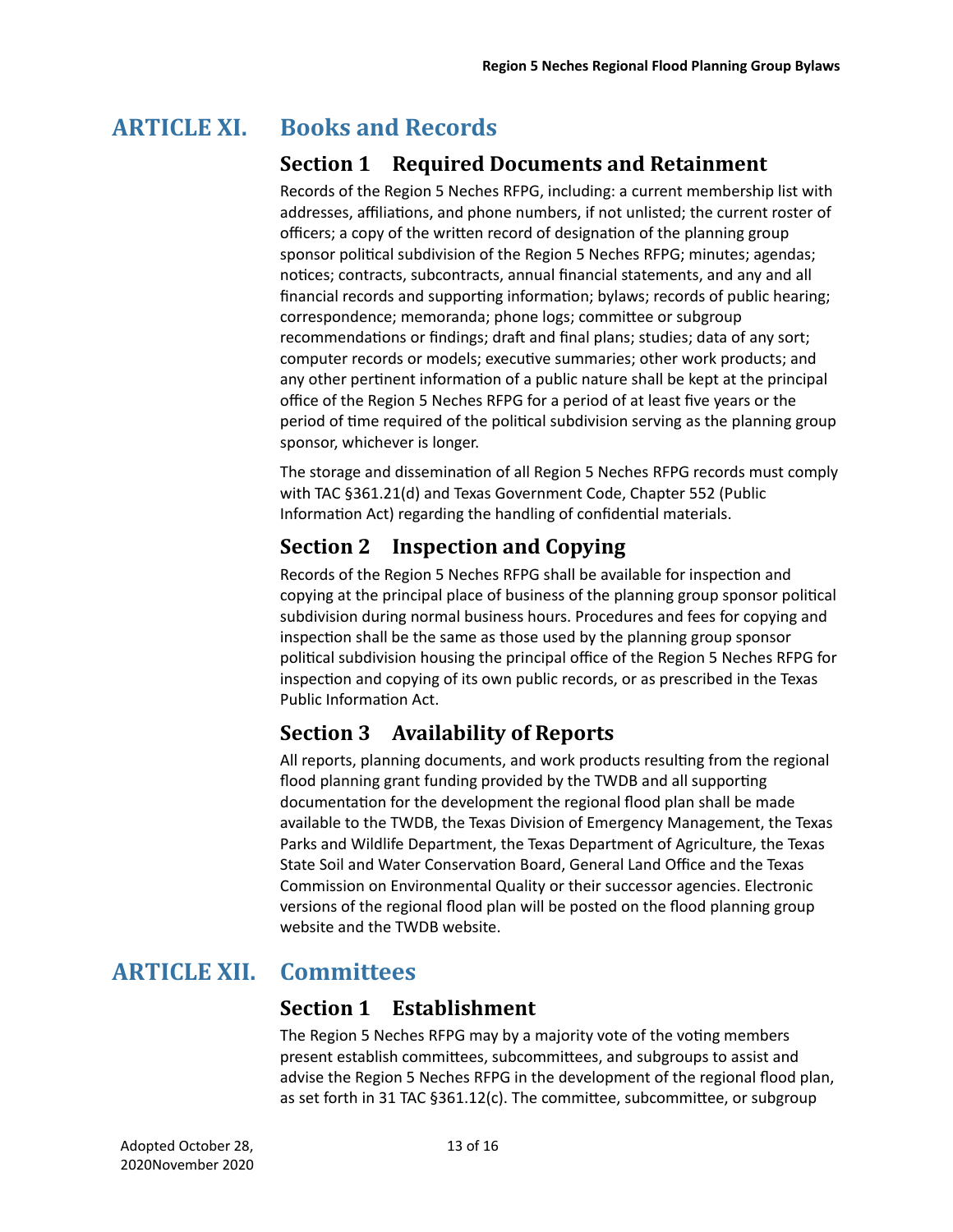#### <span id="page-16-1"></span><span id="page-16-0"></span>**ARTICLE XI. Books and Records**

#### **Section 1 Required Documents and Retainment**

Records of the Region 5 Neches RFPG, including: a current membership list with addresses, affiliations, and phone numbers, if not unlisted; the current roster of officers; a copy of the written record of designation of the planning group sponsor political subdivision of the Region 5 Neches RFPG; minutes; agendas; notices; contracts, subcontracts, annual financial statements, and any and all financial records and supporting information; bylaws; records of public hearing; correspondence; memoranda; phone logs; commitee or subgroup recommendations or findings; draft and final plans; studies; data of any sort; computer records or models; executive summaries; other work products; and any other pertinent information of a public nature shall be kept at the principal office of the Region 5 Neches RFPG for a period of at least five years or the period of time required of the political subdivision serving as the planning group sponsor, whichever is longer.

The storage and dissemination of all Region 5 Neches RFPG records must comply with TAC §361.21(d) and Texas Government Code, Chapter 552 (Public Information Act) regarding the handling of confidential materials.

#### <span id="page-16-2"></span>**Section 2 Inspection and Copying**

Records of the Region 5 Neches RFPG shall be available for inspection and copying at the principal place of business of the planning group sponsor poli�cal subdivision during normal business hours. Procedures and fees for copying and inspection shall be the same as those used by the planning group sponsor political subdivision housing the principal office of the Region 5 Neches RFPG for inspection and copying of its own public records, or as prescribed in the Texas Public Information Act.

#### <span id="page-16-3"></span>**Section 3 Availability of Reports**

All reports, planning documents, and work products resulting from the regional flood planning grant funding provided by the TWDB and all supporting documentation for the development the regional flood plan shall be made available to the TWDB, the Texas Division of Emergency Management, the Texas Parks and Wildlife Department, the Texas Department of Agriculture, the Texas State Soil and Water Conservation Board, General Land Office and the Texas Commission on Environmental Quality or their successor agencies. Electronic versions of the regional flood plan will be posted on the flood planning group website and the TWDB website.

#### <span id="page-16-5"></span><span id="page-16-4"></span>**ARTICLE XII. Committees**

#### **Section 1 Establishment**

The Region 5 Neches RFPG may by a majority vote of the voting members present establish commitees, subcommitees, and subgroups to assist and advise the Region 5 Neches RFPG in the development of the regional flood plan, as set forth in 31 TAC §361.12(c). The commitee, subcommitee, or subgroup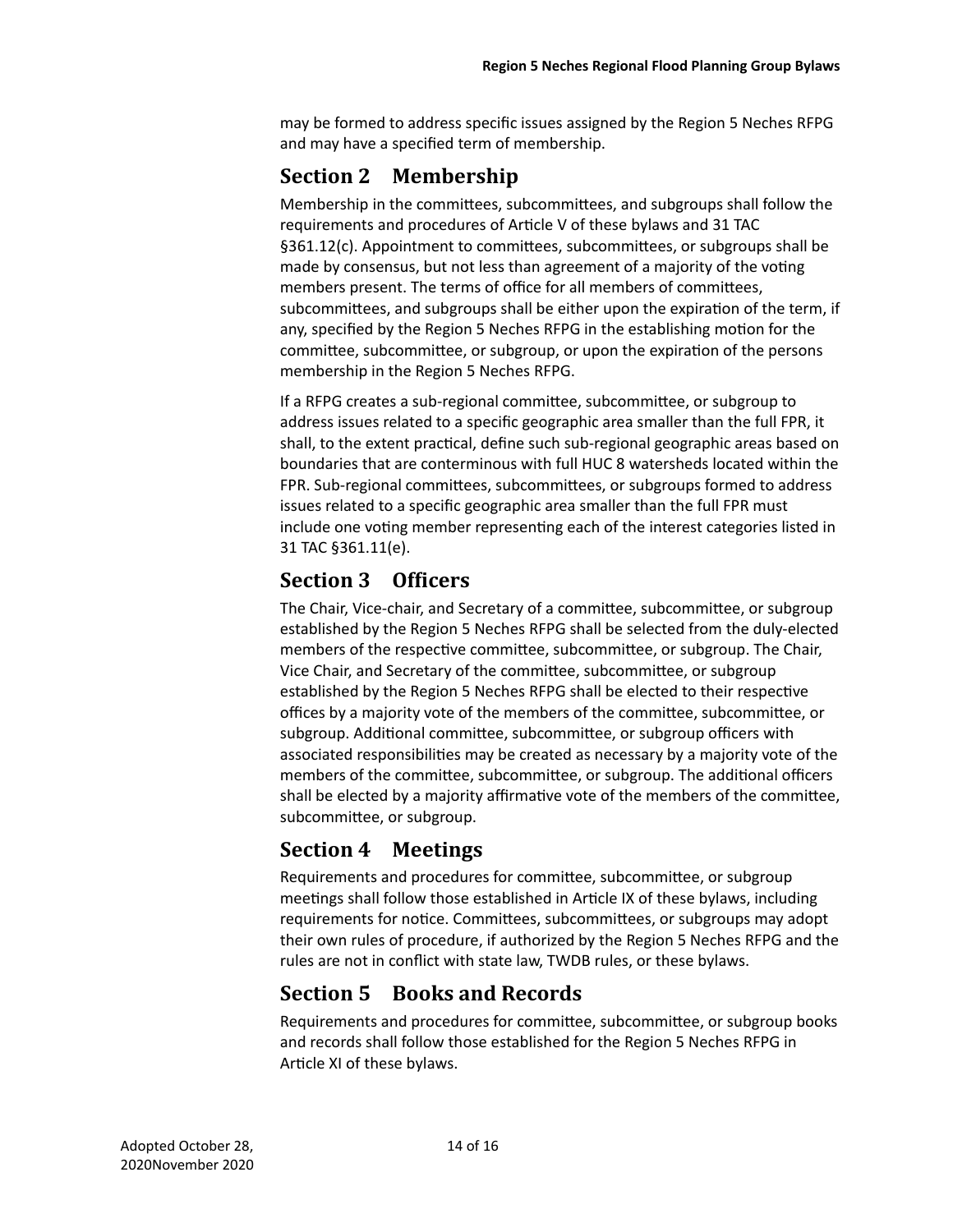may be formed to address specific issues assigned by the Region 5 Neches RFPG and may have a specified term of membership.

#### <span id="page-17-0"></span>**Section 2 Membership**

Membership in the commitees, subcommitees, and subgroups shall follow the requirements and procedures of Article V of these bylaws and 31 TAC §361.12(c). Appointment to commitees, subcommitees, or subgroups shall be made by consensus, but not less than agreement of a majority of the voting members present. The terms of office for all members of commitees, subcommittees, and subgroups shall be either upon the expiration of the term, if any, specified by the Region 5 Neches RFPG in the establishing motion for the committee, subcommittee, or subgroup, or upon the expiration of the persons membership in the Region 5 Neches RFPG.

If a RFPG creates a sub-regional commitee, subcommitee, or subgroup to address issues related to a specific geographic area smaller than the full FPR, it shall, to the extent prac�cal, define such sub-regional geographic areas based on boundaries that are conterminous with full HUC 8 watersheds located within the FPR. Sub-regional commitees, subcommitees, or subgroups formed to address issues related to a specific geographic area smaller than the full FPR must include one voting member representing each of the interest categories listed in 31 TAC §361.11(e).

#### <span id="page-17-1"></span>**Section 3 Of�icers**

The Chair, Vice-chair, and Secretary of a commitee, subcommitee, or subgroup established by the Region 5 Neches RFPG shall be selected from the duly-elected members of the respective committee, subcommittee, or subgroup. The Chair, Vice Chair, and Secretary of the commitee, subcommitee, or subgroup established by the Region 5 Neches RFPG shall be elected to their respective offices by a majority vote of the members of the commitee, subcommitee, or subgroup. Additional committee, subcommittee, or subgroup officers with associated responsibili�es may be created as necessary by a majority vote of the members of the committee, subcommittee, or subgroup. The additional officers shall be elected by a majority affirmative vote of the members of the committee, subcommitee, or subgroup.

#### <span id="page-17-2"></span>**Section 4 Meetings**

Requirements and procedures for commitee, subcommitee, or subgroup meetings shall follow those established in Article IX of these bylaws, including requirements for notice. Committees, subcommittees, or subgroups may adopt their own rules of procedure, if authorized by the Region 5 Neches RFPG and the rules are not in conflict with state law, TWDB rules, or these bylaws.

#### <span id="page-17-3"></span>**Section 5 Books and Records**

Requirements and procedures for commitee, subcommitee, or subgroup books and records shall follow those established for the Region 5 Neches RFPG in Article XI of these bylaws.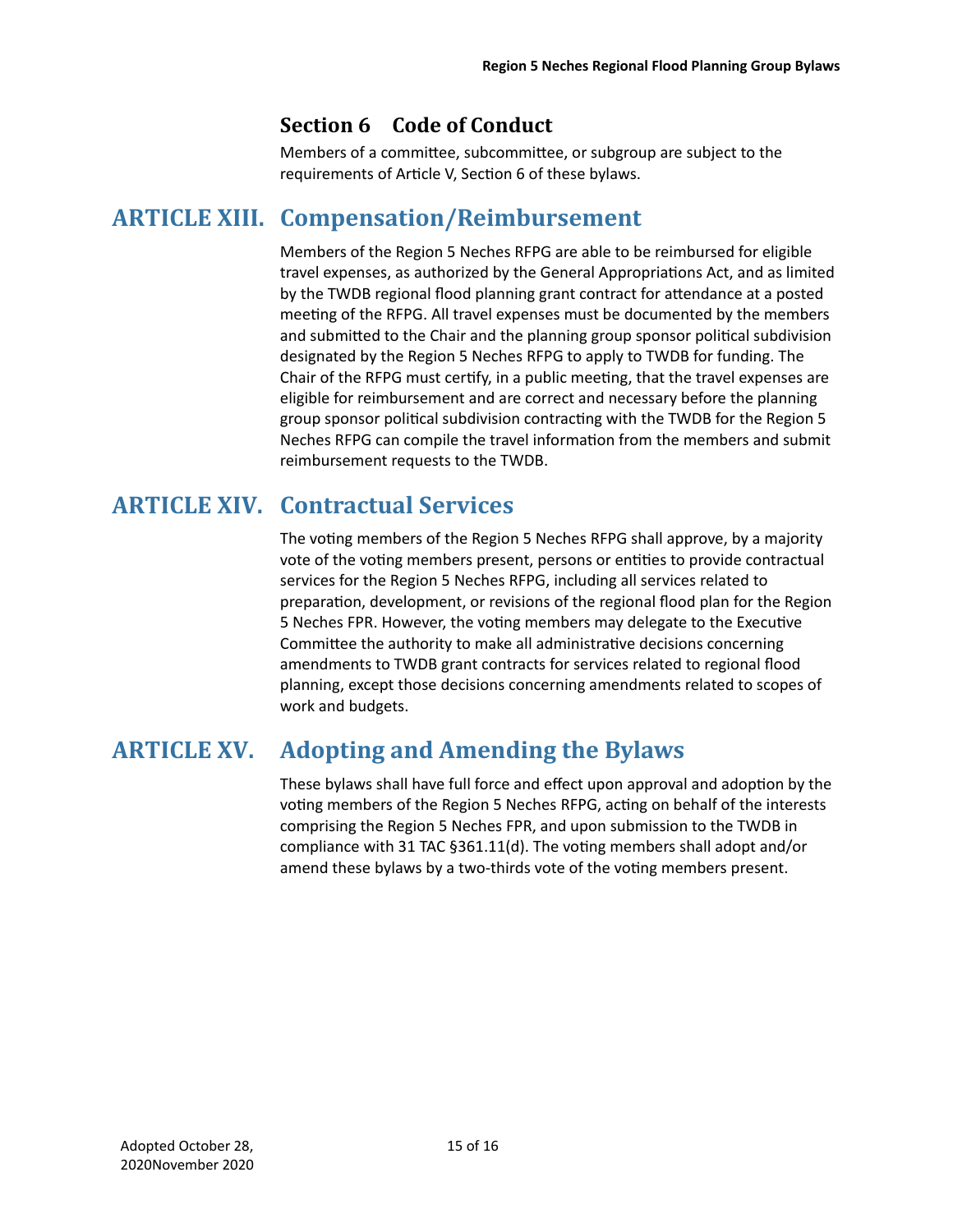#### **Section 6 Code of Conduct**

Members of a commitee, subcommitee, or subgroup are subject to the requirements of Article V, Section 6 of these bylaws.

#### <span id="page-18-1"></span><span id="page-18-0"></span>**ARTICLE XIII. Compensation/Reimbursement**

Members of the Region 5 Neches RFPG are able to be reimbursed for eligible travel expenses, as authorized by the General Appropriations Act, and as limited by the TWDB regional flood planning grant contract for atendance at a posted meeting of the RFPG. All travel expenses must be documented by the members and submitted to the Chair and the planning group sponsor political subdivision designated by the Region 5 Neches RFPG to apply to TWDB for funding. The Chair of the RFPG must certify, in a public meeting, that the travel expenses are eligible for reimbursement and are correct and necessary before the planning group sponsor political subdivision contracting with the TWDB for the Region 5 Neches RFPG can compile the travel information from the members and submit reimbursement requests to the TWDB.

#### <span id="page-18-2"></span>**ARTICLE XIV. Contractual Services**

The voting members of the Region 5 Neches RFPG shall approve, by a majority vote of the voting members present, persons or entities to provide contractual services for the Region 5 Neches RFPG, including all services related to preparation, development, or revisions of the regional flood plan for the Region 5 Neches FPR. However, the voting members may delegate to the Executive Committee the authority to make all administrative decisions concerning amendments to TWDB grant contracts for services related to regional flood planning, except those decisions concerning amendments related to scopes of work and budgets.

#### <span id="page-18-3"></span>**ARTICLE XV. Adopting and Amending the Bylaws**

These bylaws shall have full force and effect upon approval and adoption by the voting members of the Region 5 Neches RFPG, acting on behalf of the interests comprising the Region 5 Neches FPR, and upon submission to the TWDB in compliance with 31 TAC §361.11(d). The voting members shall adopt and/or amend these bylaws by a two-thirds vote of the voting members present.